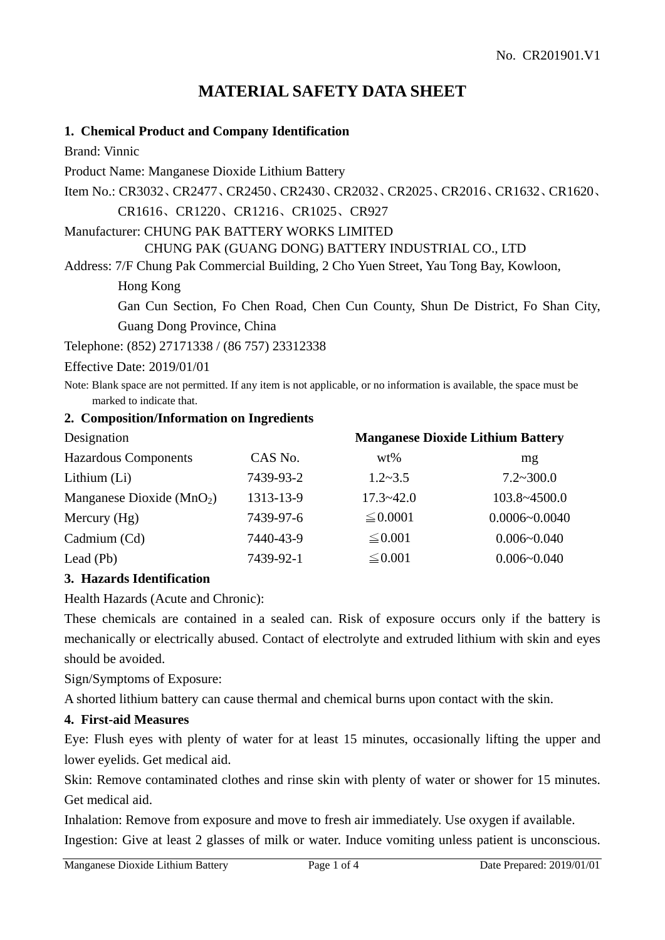# **MATERIAL SAFETY DATA SHEET**

### **1. Chemical Product and Company Identification**

Brand: Vinnic

Product Name: Manganese Dioxide Lithium Battery

Item No.: CR3032、CR2477、CR2450、CR2430、CR2032、CR2025、CR2016、CR1632、CR1620、

CR1616、CR1220、CR1216、CR1025、CR927

Manufacturer: CHUNG PAK BATTERY WORKS LIMITED

CHUNG PAK (GUANG DONG) BATTERY INDUSTRIAL CO., LTD

Address: 7/F Chung Pak Commercial Building, 2 Cho Yuen Street, Yau Tong Bay, Kowloon,

Hong Kong

Gan Cun Section, Fo Chen Road, Chen Cun County, Shun De District, Fo Shan City, Guang Dong Province, China

Telephone: (852) 27171338 / (86 757) 23312338

Effective Date: 2019/01/01

Note: Blank space are not permitted. If any item is not applicable, or no information is available, the space must be marked to indicate that.

#### **2. Composition/Information on Ingredients**

| Designation                  |           | <b>Manganese Dioxide Lithium Battery</b> |                    |
|------------------------------|-----------|------------------------------------------|--------------------|
| <b>Hazardous Components</b>  | CAS No.   | $wt\%$                                   | mg                 |
| Lithium (Li)                 | 7439-93-2 | $1.2 - 3.5$                              | $7.2 \times 300.0$ |
| Manganese Dioxide ( $MnO2$ ) | 1313-13-9 | $17.3 - 42.0$                            | 103.8~4500.0       |
| Mercury $(Hg)$               | 7439-97-6 | $\leq 0.0001$                            | $0.0006 - 0.0040$  |
| Cadmium (Cd)                 | 7440-43-9 | $\leq 0.001$                             | $0.006 - 0.040$    |
| Lead $(Pb)$                  | 7439-92-1 | $\leq 0.001$                             | $0.006 - 0.040$    |

#### **3. Hazards Identification**

Health Hazards (Acute and Chronic):

These chemicals are contained in a sealed can. Risk of exposure occurs only if the battery is mechanically or electrically abused. Contact of electrolyte and extruded lithium with skin and eyes should be avoided.

Sign/Symptoms of Exposure:

A shorted lithium battery can cause thermal and chemical burns upon contact with the skin.

#### **4. First-aid Measures**

Eye: Flush eyes with plenty of water for at least 15 minutes, occasionally lifting the upper and lower eyelids. Get medical aid.

Skin: Remove contaminated clothes and rinse skin with plenty of water or shower for 15 minutes. Get medical aid.

Inhalation: Remove from exposure and move to fresh air immediately. Use oxygen if available. Ingestion: Give at least 2 glasses of milk or water. Induce vomiting unless patient is unconscious.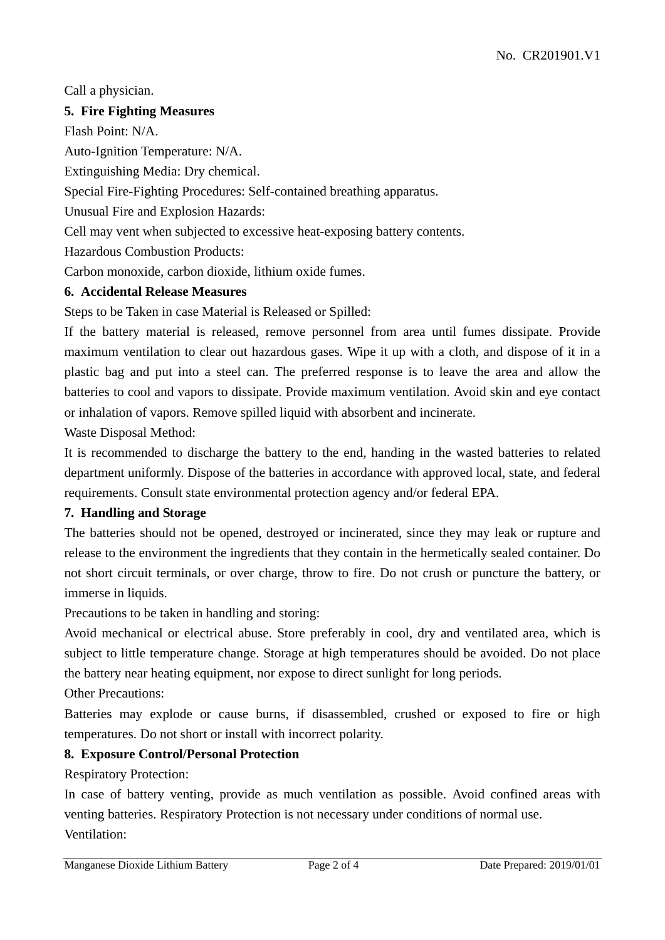Call a physician.

# **5. Fire Fighting Measures**

Flash Point: N/A.

Auto-Ignition Temperature: N/A.

Extinguishing Media: Dry chemical.

Special Fire-Fighting Procedures: Self-contained breathing apparatus.

Unusual Fire and Explosion Hazards:

Cell may vent when subjected to excessive heat-exposing battery contents.

Hazardous Combustion Products:

Carbon monoxide, carbon dioxide, lithium oxide fumes.

# **6. Accidental Release Measures**

Steps to be Taken in case Material is Released or Spilled:

If the battery material is released, remove personnel from area until fumes dissipate. Provide maximum ventilation to clear out hazardous gases. Wipe it up with a cloth, and dispose of it in a plastic bag and put into a steel can. The preferred response is to leave the area and allow the batteries to cool and vapors to dissipate. Provide maximum ventilation. Avoid skin and eye contact or inhalation of vapors. Remove spilled liquid with absorbent and incinerate.

Waste Disposal Method:

It is recommended to discharge the battery to the end, handing in the wasted batteries to related department uniformly. Dispose of the batteries in accordance with approved local, state, and federal requirements. Consult state environmental protection agency and/or federal EPA.

# **7. Handling and Storage**

The batteries should not be opened, destroyed or incinerated, since they may leak or rupture and release to the environment the ingredients that they contain in the hermetically sealed container. Do not short circuit terminals, or over charge, throw to fire. Do not crush or puncture the battery, or immerse in liquids.

Precautions to be taken in handling and storing:

Avoid mechanical or electrical abuse. Store preferably in cool, dry and ventilated area, which is subject to little temperature change. Storage at high temperatures should be avoided. Do not place the battery near heating equipment, nor expose to direct sunlight for long periods.

Other Precautions:

Batteries may explode or cause burns, if disassembled, crushed or exposed to fire or high temperatures. Do not short or install with incorrect polarity.

# **8. Exposure Control/Personal Protection**

Respiratory Protection:

In case of battery venting, provide as much ventilation as possible. Avoid confined areas with venting batteries. Respiratory Protection is not necessary under conditions of normal use. Ventilation: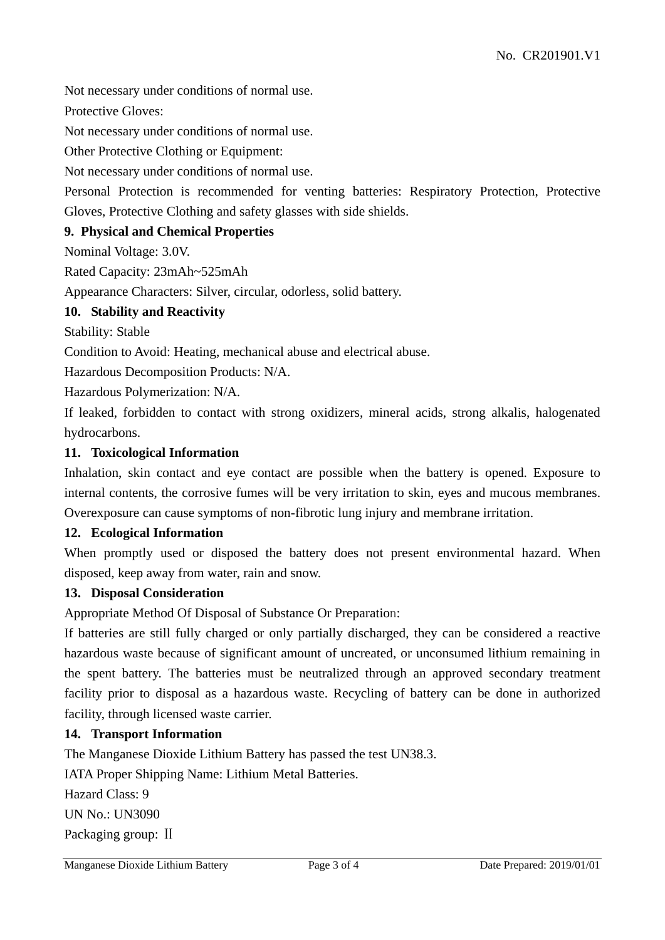Not necessary under conditions of normal use.

Protective Gloves:

Not necessary under conditions of normal use.

Other Protective Clothing or Equipment:

Not necessary under conditions of normal use.

Personal Protection is recommended for venting batteries: Respiratory Protection, Protective Gloves, Protective Clothing and safety glasses with side shields.

#### **9. Physical and Chemical Properties**

Nominal Voltage: 3.0V.

Rated Capacity: 23mAh~525mAh

Appearance Characters: Silver, circular, odorless, solid battery.

#### **10. Stability and Reactivity**

Stability: Stable

Condition to Avoid: Heating, mechanical abuse and electrical abuse.

Hazardous Decomposition Products: N/A.

Hazardous Polymerization: N/A.

If leaked, forbidden to contact with strong oxidizers, mineral acids, strong alkalis, halogenated hydrocarbons.

#### **11. Toxicological Information**

Inhalation, skin contact and eye contact are possible when the battery is opened. Exposure to internal contents, the corrosive fumes will be very irritation to skin, eyes and mucous membranes. Overexposure can cause symptoms of non-fibrotic lung injury and membrane irritation.

#### **12. Ecological Information**

When promptly used or disposed the battery does not present environmental hazard. When disposed, keep away from water, rain and snow.

#### **13. Disposal Consideration**

Appropriate Method Of Disposal of Substance Or Preparation:

If batteries are still fully charged or only partially discharged, they can be considered a reactive hazardous waste because of significant amount of uncreated, or unconsumed lithium remaining in the spent battery. The batteries must be neutralized through an approved secondary treatment facility prior to disposal as a hazardous waste. Recycling of battery can be done in authorized facility, through licensed waste carrier.

#### **14. Transport Information**

The Manganese Dioxide Lithium Battery has passed the test UN38.3.

IATA Proper Shipping Name: Lithium Metal Batteries.

Hazard Class: 9 UN No.: UN3090 Packaging group: Ⅱ

Manganese Dioxide Lithium Battery Page 3 of 4 Date Prepared: 2019/01/01